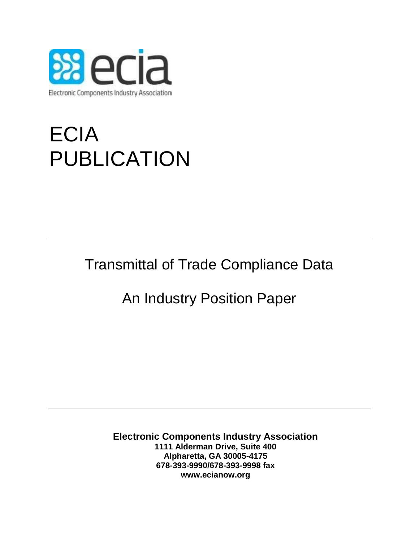

## ECIA PUBLICATION

Transmittal of Trade Compliance Data

## An Industry Position Paper

**Electronic Components Industry Association 1111 Alderman Drive, Suite 400 Alpharetta, GA 30005-4175 678-393-9990/678-393-9998 fax www.ecianow.org**